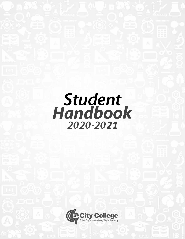# *Student Handbook 2020-2021*

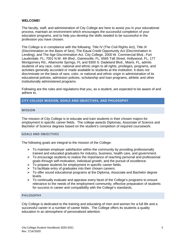# **WELCOME!**

The faculty, staff, and administration of City College are here to assist you in your educational process, maintain an environment which encourages the successful completion of your education programs, and to help you develop the skills needed to be successful in the profession you have chosen.

The College is in compliance with the following: Title IV (The Civil Rights Act), Title IX (Discrimination on the Basis of Sex), The Equal Credit Opportunity Act (Discrimination in Lending), and The Age Discrimination Act. City College, 2000 W. Commercial Blvd., Fort Lauderdale, FL; 7001 N.W. 4th Blvd., Gainesville, FL; 6565 Taft Street, Hollywood, FL, 177 Montgomery Rd., Altamonte Springs, FL and 9300 S. Dadeland Blvd., Miami, FL, admits students of any race, color, national and ethnic origin to all rights, privileges, programs, and activities generally accorded or made available to students at the institution. It does not discriminate on the basis of race, color, or national and ethnic origin in administration of its educational policies, admission policies, scholarship and loan programs, athletic and other institutionally administered programs.

Following are the rules and regulations that you, as a student, are expected to be aware of and adhere to.

# <span id="page-5-0"></span>**CITY COLLEGE MISSION, GOALS AND OBJECTIVES, AND PHILOSOPHY**

#### <span id="page-5-1"></span>MISSION

The mission of City College is to educate and train students in their chosen majors for employment in specific career fields. The college awards Diplomas, Associate of Science and Bachelor of Science degrees based on the student's completion of required coursework.

#### <span id="page-5-2"></span>GOALS AND OBJECTIVES

The following goals are integral to the mission of the College:

- $\triangleright$  To maintain employer satisfaction within the community by providing professionally trained and educated graduates for industry, business, health care, and government.
- $\triangleright$  To encourage students to realize the importance of reaching personal and professional goals through self-motivation, individual growth, and the pursuit of excellence.
- $\triangleright$  To prepare students for employment in specific career fields.
- $\triangleright$  To facilitate entry of graduates into their chosen careers.
- $\triangleright$  To offer sound educational programs at the Diploma, Associate and Bachelor degree levels.
- $\triangleright$  To continually evaluate and appraise every facet of the College's programs to ensure relevance to the needs of the employment community, effective preparation of students for success in career and compatibility with the College's standards.

#### <span id="page-5-3"></span>PHILOSOPHY

City College is dedicated to the training and educating of men and women for a full life and a successful career in a number of career fields. The College offers its students a quality education in an atmosphere of personalized attention.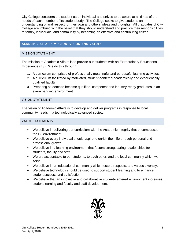City College considers the student as an individual and strives to be aware at all times of the needs of each member of its student body. The College seeks to give students an understanding of and respect for their own and others' ideas and thoughts. All graduates of City College are imbued with the belief that they should understand and practice their responsibilities to family, individuals, and community by becoming an effective and contributing citizen.

# <span id="page-6-0"></span>**ACADEMIC AFFAIRS MISSION, VISION AND VALUES**

# <span id="page-6-1"></span>MISSION STATEMENT

The mission of Academic Affairs is to provide our students with an Extraordinary Educational Experience (E3). We do this through:

- 1. A curriculum comprised of professionally meaningful and purposeful learning activities.
- 2. A curriculum facilitated by motivated, student-centered academically and experientially qualified faculty
- 3. Preparing students to become qualified, competent and industry-ready graduates in an ever-changing environment.

## <span id="page-6-2"></span>VISION STATEMENT

The vision of Academic Affairs is to develop and deliver programs in response to local community needs in a technologically advanced society.

# <span id="page-6-3"></span>VALUE STATEMENTS

- We believe in delivering our curriculum with the Academic Integrity that encompasses the E3 environment.
- We believe every individual should aspire to enrich their life through personal and professional growth
- We believe in a learning environment that fosters strong, caring relationships for students, faculty and staff.
- We are accountable to our students, to each other, and the local community which we serve.
- We believe in an educational community which fosters respects, and values diversity.
- We believe technology should be used to support student learning and to enhance student success and satisfaction.
- We believe that an innovative and collaborative student-centered environment increases student learning and faculty and staff development.

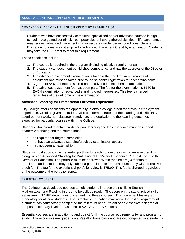#### <span id="page-7-1"></span><span id="page-7-0"></span>ADVANCED PLACEMENT THROUGH CREDIT BY EXAMINATION

Students who have successfully completed specialized and/or advanced courses in high school, have gained certain skill competencies or have gathered significant life experiences may request advanced placement in a subject area under certain conditions. General Education courses are not eligible for Advanced Placement Credit by examination. Students may take the CLEP test to meet this requirement.

These conditions include:

- 1. The course is required in the program (including elective requirements).
- 2. The student can document established competency and has the approval of the Director of Education.
- 3. The advanced placement examination is taken within the first six (6) months of enrollment and must be taken prior to the student's registration for his/her final term.
- 4. A grade of 86% or better is scored on the advanced placement examination.
- 5. The advanced placement fee has been paid. The fee for the examination is \$150 for EACH examination or advanced standing credit requested. This fee is charged regardless of the outcome of the examination.

# **Advanced Standing for Professional Life/Work Experience**

City College offers applicants the opportunity to obtain college credit for previous employment experience. Credit is given to students who can demonstrate that the learning and skills they acquired from work, non-classroom study, etc. are equivalent to the learning outcomes expected for particular courses within the College.

Students who intend to obtain credit for prior learning and life experience must be in good academic standing and the course must:

- be required for degree completion.
- not have an advanced standing/credit by examination option.
- has not been an externship.

Students must submit an experiential portfolio for each course they wish to receive credit for, along with an Advanced Standing for Professional Life/Work Experience Request Form, to the Director of Education. The portfolio must be approved within the first six (6) months of enrollment and a student may only submit a portfolio once for each course they wish to receive credit for. The fee for the experiential portfolio review is \$75.00. This fee is charged regardless of the outcome of the portfolio review.

#### <span id="page-7-2"></span>ESSENTIAL COURSES

The College has developed courses to help students improve their skills in English, Mathematics, and Reading in order to be college ready. The score on the standardized skills assessment (TABE) determines placement into these courses. This placement testing is mandatory for all new students. The Director of Education may waive the testing requirement if a student has satisfactorily completed the minimum or equivalent of an Associate's degree at the post-secondary level, or has specific SAT ACT, or AP scores.

Essential courses are in addition to and do not fulfill the course requirements for any program of study. These courses are graded on a Pass/No Pass basis and are not computed in a student's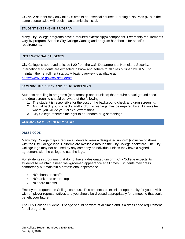CGPA. A student may only take 36 credits of Essential courses. Earning a No Pass (NP) in the same course twice will result in academic dismissal.

#### <span id="page-8-0"></span>STUDENT EXTERNSHIP PROGRAM

Many City College programs have a required externship(s) component. Externship requirements vary by program. See the City College Catalog and program handbooks for specific requirements.

#### <span id="page-8-1"></span>INTERNATIONAL STUDENTS

City College is approved to issue I-20 from the U.S. Department of Homeland Security. International students are expected to know and adhere to all rules outlined by SEVIS to maintain their enrollment status. A basic overview is available at <https://www.ice.gov/sevis/students>

# <span id="page-8-2"></span>BACKGROUND CHECK AND DRUG SCREENING

Students enrolling in programs (or externship opportunities) that require a background check and drug screening should be aware of the following:

- 1. The student is responsible for the cost of the background check and drug screening.
- 2. Annual background checks and/or drug screenings may be required by affiliation sites where you will do your clinical externships
- 3. City College reserves the right to do random drug screenings

# <span id="page-8-4"></span><span id="page-8-3"></span>**GENERAL CAMPUS INFORMATION**

#### DRESS CODE

Many City College majors require students to wear a designated uniform (inclusive of shoes) with the City College logo. Uniforms are available through the City College bookstore. The City College logo may not be used by any company or individual unless they have a signed agreement with the college to use the logo.

For students in programs that do not have a designated uniform, City College expects its students to maintain a neat, well-groomed appearance at all times. Students may dress comfortably but maintain a professional appearance.

- NO shorts or cutoffs
- NO tank tops or tube tops
- NO bare midriffs

Employers frequent the College campus. This presents an excellent opportunity for you to visit with employer representatives and you should be dressed appropriately for a meeting that could benefit your future.

The City College Student ID badge should be worn at all times and is a dress code requirement for all programs.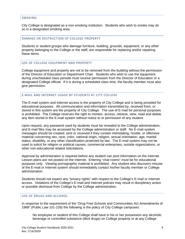#### <span id="page-9-0"></span>SMOKING

City College is designated as a non-smoking institution. Students who wish to smoke may do so in a designated smoking area.

#### <span id="page-9-1"></span>DAMAGE OR DESTRUCTION OF COLLEGE PROPERTY

Students or student groups who damage furniture, building, grounds, equipment, or any other property belonging to the College or the staff, are responsible for replacing and/or repairing these items.

## <span id="page-9-2"></span>USE OF COLLEGE EQUIPMENT AND PROPERTY

College equipment and property are not to be removed from the building without the permission of the Director of Education or Department Chair. Students who wish to use the equipment during unscheduled class periods must receive permission from the Director of Education or a designated College official. If it is during a scheduled class time, the faculty member must also give permission.

### <span id="page-9-3"></span>E-MAIL AND INTERNET USAGE BY STUDENTS AT CITY COLLEGE

The E-mail system and Internet access is the property of City College and is being provided for educational purposes. All communication and information transmitted by, received from, or stored in this system are the property of City College. The use of E-mail for personal purposes is prohibited. The College reserves the right to monitor, access, retrieve, view, read and delete any item stored in the E-mail system without notice to or permission of any student.

Upon request, any password used by students must be revealed to the College administration, and E-mail files may be accessed by the College administration or staff. No E-mail system messages should be created, sent or received if they contain intimidating, hostile, or offensive material concerning sex, race, color, national origin, religion, sexual orientation, age, marital status, disability, or any other classification protected by law. The E-mail system may not be used to solicit for religion or political causes, commercial enterprises, outside organizations, or other non-educational related solicitations.

Approval by administration is required before any student can post information on the Internet. Lesson plans are not posted on the Internet. Entering "chat rooms" must be for educational purposes only. Viewing pornographic material is prohibited. Any student who discovers misuse of the E-mail or Internet system should immediately contact his/her faculty member or College administration.

Students should not expect any "privacy rights" with respect to the College's E-mail or Internet access. Violations of the College's E-mail and Internet policies may result in disciplinary action or possible dismissal from College by the College administration.

# <span id="page-9-4"></span>USE OF DRUGS AND ALCOHOL

In response to the requirement of the "Drug Free Schools and Communities Act Amendments of 1989" (Public Law 101-226) the following is the policy of City College campuses:

No employee or student of this College shall have in his or her possession any alcoholic beverage or controlled substance (illicit drugs) on College property or at any College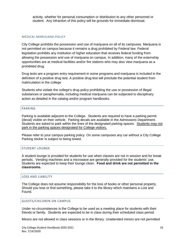activity, whether for personal consumption or distribution to any other personnel or student. Any infraction of this policy will be grounds for immediate dismissal.

#### MEDICAL MARIJUANA POLICY

City College prohibits the possession and use of marijuana on all of its campuses. Marijuana is not permitted on campus because it remains a drug prohibited by Federal law. Federal legislation prohibits any institution of higher education that receives federal funding from allowing the possession and use of marijuana on campus. In addition, many of the externship opportunities are at medical facilities and/or fire stations who may also view marijuana as a prohibited drug.

Drug tests are a program entry requirement in some programs and marijuana is included in the definition of a positive drug test. A positive drug test will preclude the potential student from matriculation in the college

Students who violate the college's drug policy prohibiting the use or possession of illegal substances or paraphernalia, including medical marijuana can be subjected to disciplinary action as detailed in the catalog and/or program handbooks.

#### <span id="page-10-0"></span>PARKING

Parking is available adjacent to the College. Students are required to have a parking permit (decal) visible on their vehicle. Parking decals are available in the Admissions Department. Students are asked to park within the lines of the designated parking spaces. Students may not park in the parking spaces designated for College visitors.

Please refer to your campus parking policy. On some campuses any car without a City College Parking sticker is subject to being towed.

#### <span id="page-10-1"></span>STUDENT LOUNGE

A student lounge is provided for students for use when classes are not in session and for break periods. Vending machines and a microwave are generally provided for the students' use. Students are expected to keep their lounge clean. **Food and drink are not permitted in the classrooms.** 

#### <span id="page-10-2"></span>LOSS AND LIABILITY

The College does not assume responsibility for the loss of books or other personal property. Should you lose or find something, please take it to the library which maintains a Lost and Found.

#### <span id="page-10-3"></span>GUESTS/CHILDREN ON CAMPUS

Under no circumstances is the College to be used as a meeting place for students with their friends or family. Students are expected to be in class during their scheduled class period.

Minors are not allowed in class sessions or in the library. Unattended minors are not permitted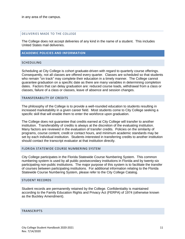#### <span id="page-11-0"></span>DELIVERIES MADE TO THE COLLEGE

The College does not accept deliveries of any kind in the name of a student. This includes United States mail deliveries.

# <span id="page-11-1"></span>**ACADEMIC POLICIES AND INFORMATION**

#### <span id="page-11-2"></span>**SCHEDULING**

Scheduling at City College is cohort graduate-driven with regard to quarterly course offerings. Consequently, not all classes are offered every quarter. Classes are scheduled so that students who remain "on track" may complete their education in a timely manner. The College cannot guarantee graduation on a specific date as there are many variables in determining completion dates. Factors that can delay graduation are: reduced course loads, withdrawal from a class or classes, failure of a class or classes, leave of absence and session changes.

#### <span id="page-11-3"></span>TRANSFERABILITY OF CREDITS

The philosophy of the College is to provide a well-rounded education to students resulting in increased marketability in a given career field. Most students come to City College seeking a specific skill that will enable them to enter the workforce upon graduation.

The College does not guarantee that credits earned at City College will transfer to another institution. Transferability of credits is always at the discretion of the evaluating institution. Many factors are reviewed in the evaluation of transfer credits. Policies on the similarity of programs, course content, credit or contact hours, and minimum academic standards may be set by each individual institution. Students interested in transferring credits to another institution should contact the transcript evaluator at that institution directly.

#### <span id="page-11-4"></span>FLORIDA STATEWIDE COURSE NUMBERING SYSTEM

City College participates in the Florida Statewide Course Numbering System. This common numbering system is used by all public postsecondary institutions in Florida and by twenty-six participating non-public institutions. The major purpose of this system is to facilitate the transfer of courses between participating institutions. For additional information relating to the Florida Statewide Course Numbering System, please refer to the City College Catalog.

#### <span id="page-11-5"></span>STUDENT RECORDS

Student records are permanently retained by the College. Confidentiality is maintained according to the Family Education Rights and Privacy Act (FERPA) of 1974 (otherwise known as the Buckley Amendment).

#### <span id="page-11-6"></span>TRANSCRIPTS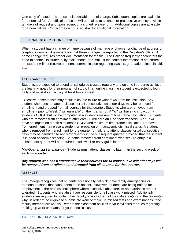One copy of a student's transcript is available free of charge. Subsequent copies are available for a nominal fee. An official transcript will be mailed to a school or prospective employer within ten days of request and upon receipt of a signed release form. Additional copies are available for a nominal fee. Contact the campus registrar for additional information.

#### <span id="page-12-0"></span>PERSONAL INFORMATION CHANGES

When a student has a change of name because of marriage or divorce, or change of address or telephone number, it is imperative that these changes be reported to the Registrar's office. A name change requires proper documentation for the file. The College frequently encounters the need to contact its students, by mail, phone, or e-mail. If the contact information is not correct, the student will not receive pertinent communication regarding classes, graduation, financial aid, etc.

# <span id="page-12-1"></span>ATTENDANCE POLICY

Students are expected to attend all scheduled classes regularly and on time in order to achieve the learning goals for their program of study. In an online class the student is expected to log in daily and must do an activity at least twice a week.

Excessive absenteeism may result in course failure or withdrawal from the institution. Any student who does not attend classes for 14 consecutive calendar days may be removed from enrollment and dropped from all courses for that quarter. Students who are removed from enrollment prior to Week 7 will earn a W on their transcript. A "W" will have no impact on a student's CGPA, but will be computed in a student's maximum time frame calculation. Students who are removed from enrollment after Week 6 will earn an F on their transcript. An "F" will have an impact on a both a student's CGPA and maximum time frame calculation. Removal from enrollment may place a student on probation or in academic dismissal status. A student who is removed from enrollment for the quarter for failure to attend classes for 14 consecutive days may be permitted to apply for re-entry in the subsequent quarter, provided that the student is in good academic standing. Students removed from enrollment who seek re-entry in a subsequent quarter will be required to follow all re-entry guidelines.

*Mid-Quarter start attendance* - Students must attend classes no later than the second week of each mid-quarter.

## *Any student who has 0 attendance in their courses for 14 consecutive calendar days will be removed from enrollment and dropped from all courses for that quarter*.

#### <span id="page-12-2"></span>ABSENCES

The College recognizes that students occasionally get sick, have family emergencies or personal reasons that cause them to be absent. However, students are being trained for employment in the professional sphere where excessive absenteeism and tardiness are not tolerated. Students who are absent are responsible for all class work missed. Additionally, students are required to contact their faculty to notify them of their absence(s) and the reason(s) why, in order to be eligible to submit late work or make up missed tests and examinations if the faculty member allows this. Refer to the classroom policies in your syllabus for rules regarding making up work or exams for your specific class.

# <span id="page-12-3"></span>ABSENCE ON EXAMINATION DAYS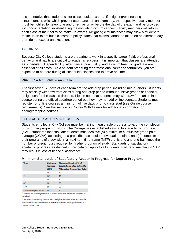It is imperative that students sit for all scheduled exams. If mitigating/extenuating circumstances exist which prevent attendance on an exam day, the respective faculty member must be notified by telephone and/or e-mail on or before the day of the exam and be provided with documentation substantiating the mitigating circumstances. Faculty members will inform each class of their policy on make-up exams. Mitigating circumstances may allow a student to make up an exam but if classroom policy states that exams cannot be taken on an alternate day then do not expect an exception.

# <span id="page-13-0"></span>**TARDINESS**

Because City College students are preparing to work in a specific career field, professional behavior and habits are critical to academic success. It is important that classes are attended as scheduled. Dependability, attendance, punctuality, and a commitment to graduate are essential at all times. As a student preparing for professional career opportunities, you are expected to be here during all scheduled classes and to arrive on time.

#### <span id="page-13-1"></span>DROPPING OR ADDING COURSES

The first seven (7) days of each term are the add/drop period, including mid-quarters. Students may officially withdraw from class during add/drop period without punitive grades or financial obligations for the classes dropped. Please note that students may withdraw from an online course during the official add/drop period but they may not add online courses. Students must register for online courses a minimum of five days prior to class start (see Online course requirements). See the section on Course Withdrawals for additional information on adding/dropping courses.

## <span id="page-13-2"></span>SATISFACTORY ACADEMIC PROGRESS

Students enrolled at City College must be making measurable progress toward the completion of his or her program of study. The College has established satisfactory academic progress (SAP) standards that stipulate students must achieve (a) a minimum cumulative grade point average (CGPA), according to a prescribed schedule of evaluation points, and (b) complete their programs of study within a maximum time frame (MTF) that is one and one-half times the number of credit hours required for his/her program of study. Standards of satisfactory academic progress, as defined in this catalog, apply to all students. Failure to maintain in SAP may result in loss of financial assistance.

#### **Minimum Standards of Satisfactory Academic Progress for Degree Programs**

| <b>Term</b>                       | <b>Minimum</b><br><b>Required</b><br><b>CGPA</b> | <b>Minimum Required % of</b><br><b>Credits Completed to Credits</b><br><b>Attempted (Completion Rate)</b> |
|-----------------------------------|--------------------------------------------------|-----------------------------------------------------------------------------------------------------------|
| 1                                 | 1.5                                              | 40                                                                                                        |
| $\overline{2}$                    | 1.65                                             | 40                                                                                                        |
| 31                                | 1.8                                              | 50                                                                                                        |
| $4-5$                             | 1.8                                              | 55                                                                                                        |
| $6^{2}9^{2}$                      | 2.0                                              | 60                                                                                                        |
| Each Subsequent Term <sup>2</sup> | 2.0                                              | 60                                                                                                        |

<sup>1</sup> Student not meeting standards does not have to be dismissed; probation is required.

<sup>2</sup> A student not meeting standards is not eligible for financial aid and must be dismissed OR may remain in an extended enrollment status; probation is not allowed at this point.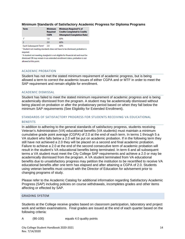#### **Minimum Standards of Satisfactory Academic Progress for Diploma Programs**

| <b>Term</b> |  | <b>Minimum</b><br><b>Required</b><br><b>CGPA</b> | <b>Minimum Required % of</b><br><b>Credits Completed to Credits</b><br><b>Attempted (Completion Rate)</b> |
|-------------|--|--------------------------------------------------|-----------------------------------------------------------------------------------------------------------|
| 11          |  | 1.8                                              | 60%                                                                                                       |
|             |  | 2.0                                              | 60%                                                                                                       |
|             |  |                                                  |                                                                                                           |

Each Subsequent Term<sup>2</sup> 2.0 60%

<sup>1</sup> Student not meeting standards does not have to be dismissed; probation is required.

<sup>2</sup> A student not meeting standards is not eligible for financial aid and must be dismissed OR may remain in an extended enrollment status; probation is not allowed at this point.

#### ACADEMIC PROBATION

Student has not met the stated minimum requirement of academic progress, but is being allowed a term to correct the academic issues of either CGPA and or MTF in order to meet the SAP requirement and remain eligible for enrollment.

#### ACADEMIC DISMISSAL

Student has failed to meet the stated minimum requirement of academic progress and is being academically dismissed from the program. A student may be academically dismissed without being placed on probation or after the probationary period based on when they fall below the minimum SAP requirements (See Eligibility for Extended Enrollment).

# STANDARDS OF SATISFACTORY PROGRESS FOR STUDENTS RECEIVING VA EDUCATIONAL

# **BENEFITS**

In addition to adhering to the general standards of satisfactory progress, students receiving Veteran's Administration (VA) educational benefits (VA students) must maintain a minimum cumulative grade point average (CGPA) of 2.0 at the end of each term. In terms 1 through 5 a VA student who falls below a 2.0 will be put on academic probation. If in the following term they still have not achieved a 2.0 they will be placed on a second and final academic probation. Failure to achieve a 2.0 at the end of the second consecutive term of academic probation will result in the student's VA educational benefits being terminated. In term 6 and all subsequent terms a VA student must meet the City College SAP requirements and achieve a 2.0 or may be academically dismissed from the program. A VA student terminated from VA educational benefits due to unsatisfactory progress may petition the institution to be recertified to receive VA educational benefits after one term has elapsed and after attaining a CGPA of 2.0. Students using veteran benefits must consult with the Director of Education for advisement prior to changing programs of study.

Please refer to the Academic Catalog for additional information regarding Satisfactory Academic Progress (SAP) including policies on course withdrawals, incompletes grades and other items affecting or effected by SAP.

#### <span id="page-14-0"></span>GRADING SYSTEM

Students at the College receive grades based on classroom participation, laboratory and project work and written examinations. Final grades are issued at the end of each quarter based on the following criteria:

A (90-100) equals 4.0 quality points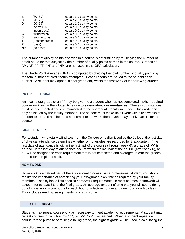| B         | $(80 - 89)$       | equals 3.0 quality points |
|-----------|-------------------|---------------------------|
| C         | $(70 - 79)$       | equals 2.0 quality points |
| D         | $(60 - 69)$       | equals 1.0 quality points |
| F         | (below 60)        | equals 0.0 quality points |
|           | (incomplete)      | equals 0.0 quality points |
| W         | (withdrawal)      | equals 0.0 quality points |
| S         | (satisfactory)    | equals 0.0 quality points |
|           | (transfer credit) | equals 0.0 quality points |
| P         | (pass)            | equals 0.0 quality points |
| <b>NP</b> | (no pass)         | equals 0.0 quality points |

The number of quality points awarded in a course is determined by multiplying the number of credit hours for that subject by the number of quality points earned in the course. Grades of "W", "S", "I", "T", "N" and "NP" are not used in the GPA calculation.

The Grade Point Average (GPA) is computed by dividing the total number of quality points by the total number of credit hours attempted. Grade reports are issued to the student each quarter. A student may appeal a final grade only within the first week of the following quarter.

#### <span id="page-15-0"></span>INCOMPLETE GRADE

An incomplete grade or an "I" may be given to a student who has not completed his/her required course work within the allotted time due to **extenuating circumstances.** These circumstances must be documented and communicated to the appropriate faculty member. This grade can only be issued by the faculty member. The student must make up all work within two weeks of the quarter end. If he/she does not complete the work, then he/she may receive an "F" for that course.

#### <span id="page-15-1"></span>GRADE PENALTY

For a student who totally withdraws from the College or is dismissed by the College, the last day of physical attendance determines whether or not grades are recorded for that quarter. If the last date of attendance is within the first half of the course (through week 6), a grade of "W" is earned. If the last day of attendance occurs within the last half of the course (after week 6), an "F" will be assigned to each requirement that is not completed and averaged in with the grades earned for completed work.

#### <span id="page-15-2"></span>HOMEWORK

Homework is a natural part of the educational process. As a professional student, you should realize the importance of completing your assignments on time as required by your faculty member. Each syllabus lists specific homework requirements. In most courses, homework will account for at least 5% of the final grade. An average amount of time that you will spend doing out of class work is two hours for each hour of a lecture course and one hour for a lab class. This includes reading, assignments, and study time.

#### <span id="page-15-3"></span>REPEATED COURSES

Students may repeat coursework as necessary to meet academic requirements. A student may repeat courses for which an "F," "D," or "W", "NP" was earned. When a student repeats a course for the purpose of raising a failing grade, the highest grade will be used in calculating the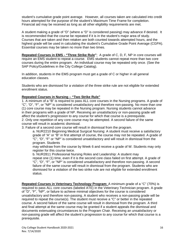student's cumulative grade point average. However, all courses taken are calculated into credit hours attempted for the purpose of the student's Maximum Time Frame for completion. Financial aid may be received as long as all other eligibility requirements are met.

A student making a grade of "D" (where a "D" is considered passing) may advance if desired. It is recommended that the course be repeated if it is in the student's major area of study. Courses that are taken and then retaken are both counted towards attempted hours, and the highest grade will be used in calculating the student's Cumulative Grade Point Average (CGPA). Essential courses may be taken no more than two times.

**Repeated Courses in EMS - "Three Strike Rule"***:* A grade of C, D, F, NP in core courses will require an EMS student to repeat a course. EMS students cannot repeat more than two core courses during the entire program. An individual course may be repeated only once. (See the SAP Policy/Guidelines in the City College Catalog).

In addition, students in the EMS program must get a grade of C or higher in all general education classes.

Students who are dismissed for a violation of the three strike rule are not eligible for extended enrollment status.

# **Repeated Courses in Nursing – "Two Strike Rule"**

1. A minimum of a "B" is required to pass ALL core courses in the Nursing programs. A grade of "C", "D", "F", or "NP" is considered unsatisfactory and therefore non-passing. No more than one (1) core course may be repeated in the Nursing program. Nursing students cannot advance in their programs with a grade of NP. Receiving an unsatisfactory or non-passing grade will affect the student's progression to any course for which that course is a prerequisite. 2. Only one repetition of any core course may be attempted. A second failure of the same course will result in academic dismissal.

3. Failure of a second core course will result in dismissal from the program.

a. NUR2210 Beginning Medical Surgical Nursing: A student must receive a satisfactory grade of "A" or "B" in first attempt of course, the course may not be repeated. A grade of "C", "D", "F" or "NP" is considered unsatisfactory and will result in dismissal from the program. Students

may withdraw from the course by Week 6 and receive a grade of W. Students may only register for this course twice.

b. NUR2811 Professional Nursing Roles and Leadership: A student may repeat one (1) time, even if it is the second core class failed on first attempt. A grade of "C", "D", "F", or "NP" is considered unsatisfactory and therefore non-passing. A second failure of the same course will result in dismissal from the program. Students who are dismissed for a violation of the two strike rule are not eligible for extended enrollment status.

**Repeated Courses in Veterinary Technology Program:** A minimum grade of a "C" (70%) is required to pass ALL core courses (labeled ATE) in the Veterinary Technician program. A grade of "D", "F", "NP", or failure to achieve minimal objectives for the course is considered unsatisfactory and therefore non-passing. A student who receives a non-passing grade will be required to repeat the course(s). The student must receive a "C" or better in the repeated course. A second failure of the same course will result in dismissal from the program. A third and final attempt at the same course may be granted if a student appeals the dismissal and documents extenuating circumstances to the Program Chair. Receiving an unsatisfactory or non-passing grade will affect the student's progression to any course for which that course is a prerequisite.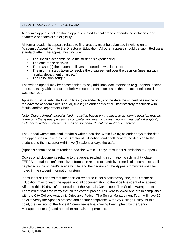# <span id="page-17-0"></span>STUDENT ACADEMIC APPEALS POLICY

Academic appeals include those appeals related to final grades, attendance violations, and academic or financial aid eligibility.

All formal academic appeals related to final grades, must be submitted in writing on an Academic Appeal Form to the Director of Education. All other appeals should be submitted via a standard letter. The appeal must include:

- The specific academic issue the student is experiencing
- The date of the decision
- The reason(s) the student believes the decision was incorrect
- The informal steps taken to resolve the disagreement over the decision (meeting with faculty, department chair, etc.)
- The resolution sought

The written appeal may be accompanied by any additional documentation (e.g., papers, doctor notes, tests, syllabi) the student believes supports the conclusion that the academic decision was incorrect.

Appeals must be submitted within five (5) calendar days of the date the student has notice of the adverse academic decision; or, five (5) calendar days after unsatisfactory resolution with faculty and/or Department Chair.

*Note: Once a formal appeal is filed, no action based on the adverse academic decision may be taken until the appeal process is complete. However, in cases involving financial aid eligibility, all financial aid disbursements shall be suspended until the matter is resolved.*

The Appeal Committee shall render a written decision within five (5) calendar days of the date the appeal was received by the Director of Education, and shall forward the decision to the student and the instructor within five (5) calendar days thereafter.

(Appeals committee must render a decision within 10 days of student submission of Appeal)

Copies of all documents relating to the appeal (excluding information which might violate FERPA or student confidentiality -information related to disability or medical documents) shall be placed in the student's academic file, and the decision of the Appeal Committee shall be noted in the student information system.

If a student still deems that the decision rendered is not a satisfactory one, the Director of Education may forward the appeal and all documentation to the Vice President of Academic Affairs within 10 days of the decision of the Appeals Committee. The Senior Management Team will at that time verify that all the correct procedures were followed and are in compliance with the City College Academic Grievance Policy. The Senior Management Team will have 10 days to verify the Appeals process and ensure compliance with City College Policy. At this point, the decision of the Appeal Committee is final (having been upheld by the Senior Management team), and no further appeals are permitted.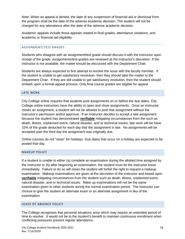Note: When an appeal is denied, the date of any suspension of financial aid or dismissal from the program shall be the date of the adverse academic decision. The student will not be charged for any attendance after the date of the adverse academic decision.

Academic appeals include those appeals related to final grades, attendance violations, and academic or financial aid eligibility.

# <span id="page-18-0"></span>ASSIGNMENT/TEST GRADES

Students who disagree with an assignment/test grade should discuss it with the instructor upon receipt of the grade. Assignments/test grades are reviewed at the instructor's discretion. If the instructor is not available, the matter should be discussed with the Department Chair.

Students are always expected to first attempt to resolve the issue with the faculty member. If the student is unable to get satisfactory resolution, then they should take the matter to the Department Chair. If they are still unable to get satisfactory resolution, then the student should embark upon a formal appeal process. Only final course grades are eligible for appeal.

# <span id="page-18-1"></span>LATE WORK

City College online requires that students post assignments on or before the due dates. City College online instructors have the ability to open and close assignments. Once an instructor closes an assignment, a student will not be allowed to post that assignment without the instructor's permission and/or approval. If an instructor decides to accept a late assignment because the student has demonstrated **verifiable** mitigating circumstances from the such as death, illness, unplanned event, natural disaster, and or technical issues, late work will be have 10% of the grade deducted for each day that the assignment is late. No assignments will be accepted past the third day the assignment was originally due.

Online courses do not "close" for holidays. Due dates that occur on a holiday are expected to be posted that day.

#### <span id="page-18-2"></span>MAKEUP POLICY

If a student is unable to either (a) complete an examination during the allotted time assigned by the instructor or (b) after beginning an examination, the student must let the instructor know immediately. Failure to do so will mean the student will forfeit the right to request a makeup examination. Makeup examinations are given at the discretion of the instructor and based upon **verifiable** mitigating circumstances from the student such as death, illness, unplanned event, natural disaster, and or technical issues. Make up examinations will not be the same examination given to other students during the normal examination period. The instructor can choose to give the student an alternate exam or an alternate assignment in lieu of the examination.

# <span id="page-18-3"></span>LEAVE OF ABSENCE POLICY

The College recognizes that personal situations arise which may require an extended period of time to resolve. It would not be to the student's benefit to maintain continuous enrollment when conflicting pressures prevent regular attendance.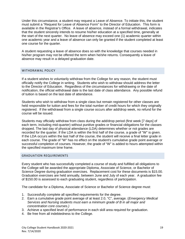Under this circumstance, a student may request a Leave of Absence. To initiate this, the student must submit a "Request for Leave of Absence Form" to the Director of Education. This form is available in the Registrar's Office. A leave of absence, instead of a formal withdrawal, indicates that the student sincerely intends to resume his/her education at a specified time, generally at the start of the next quarter. No leave of absence may exceed one (1) academic quarter within one academic year and a leave of absence can only be granted if the student completed at least one course for the quarter.

A student requesting a leave of absence does so with the knowledge that courses needed in his/her program may not be offered the term when he/she returns. Consequently a leave of absence may result in a delayed graduation date.

## <span id="page-19-0"></span>WITHDRAWAL POLICY

If a student wishes to voluntarily withdraw from the College for any reason, the student must officially notify the College in writing. Students who wish to withdraw should address the letter to the Director of Education. Regardless of the circumstances for withdrawing or the date of notification, the official withdrawal date is the last date of class attendance. Any possible refund of tuition is based on the last date of attendance.

Students who wish to withdraw from a single class but remain registered for other classes are held responsible for tuition and fees for the total number of credit hours for which they originally registered. If the withdrawal from a single course occurs after add/drop week, no refund for the course will be issued.

Students may officially withdraw from class during the add/drop period (first week [7 days] of each term, including mid-quarter) without punitive grades or financial obligations for the classes dropped. The last day of physical attendance (LDA) determines whether or not grades are recorded for the quarter. If the LDA is within the first half of the course, a grade of "W" is given. If the LDA occurs within the last half of the course, the student will receive a final letter grade in each course. The grade of "W" has no effect on the student's cumulative grade point average or successful completion of courses. However, the grade of "W" is added to hours attempted within the specified maximum time frame.

#### <span id="page-19-1"></span>GRADUATION REQUIREMENTS

Every student who has successfully completed a course of study and fulfilled all obligations to the College will be awarded the appropriate Diploma, Associate of Science, or Bachelor of Science Degree during graduation exercises. Replacement cost for these documents is \$15.00. Graduation exercises are held annually, between June and July of each year. A graduation fee of \$150.00 is assessed to each graduating student, regardless of participation.

The candidate for a Diploma, Associate of Science or Bachelor of Science degree must:

- 1. Successfully complete all specified requirements for the degree.
- 2. Earn a cumulative grade point average of at least 2.0, "C", average. (*Emergency Medical Services and Nursing students must earn a minimum grade of B in all major and concentration core courses.)*
- 3. Achieve a specified level of performance in each skill area required for graduation.
- 4. Be free from all indebtedness to the College.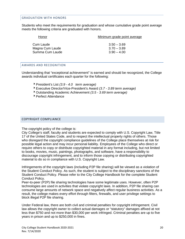#### <span id="page-20-0"></span>GRADUATION WITH HONORS

Students who meet the requirements for graduation and whose cumulative grade point average meets the following criteria are graduated with honors.

| $3.50 - 3.69$ |
|---------------|
| $3.70 - 3.89$ |
| $3.90 - 4.00$ |
|               |

## <span id="page-20-1"></span>AWARDS AND RECOGNITION

Understanding that "exceptional achievement" is earned and should be recognized, the College awards individual certificates each quarter for the following:

- President's List *(3.9 - 4.0 term average)*
- Executive Director/Vice-President's Award *(3.7 - 3.89 term average)*
- Outstanding Academic Achievement *(3.5 - 3.69 term average)*
- ▶ Perfect Attendance

#### <span id="page-20-2"></span>COPYRIGHT COMPLIANCE

The copyright policy of the college is:

City College's staff, faculty and students are expected to comply with U.S. Copyright Law, Title 17 of the United States Code, and to respect the intellectual property rights of others. Those who disregard the copyright compliance guidelines of the College place themselves at risk for possible legal action and may incur personal liability. Employees of the College who direct or require others to copy or distribute copyrighted material in any format including, but not limited to books, movies, music, paintings, photographs, and software, have a responsibility to discourage copyright infringement, and to inform those copying or distributing copyrighted material to do so in compliance with U.S. Copyright Law.

Infringements of the copyright laws (including P2P file sharing) will be viewed as a violation of the Student Conduct Policy. As such, the student is subject to the disciplinary sanctions of the Student Conduct Policy. Please refer to the City College Handbook for the complete Student Conduct Policy.

Peer-to-peer (P2P) file sharing technologies have some legitimate uses. However, often P2P technologies are used in activities that violate copyright laws. In addition, P2P file sharing can consume large amounts of network space and negatively affect regular business activities. As a result, the college makes every effort through filters, firewalls, and user privilege settings to block illegal P2P file sharing.

Under Federal law, there are both civil and criminal penalties for copyright infringement. Civil law allows the copyright owner to collect actual damages or "statutory" damages affixed at not less than \$750 and not more than \$30,000 per work infringed. Criminal penalties are up to five years in prison and up to \$250,000 in fines.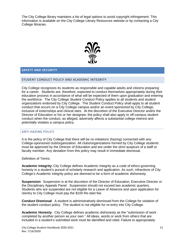The City College library maintains a list of legal options to avoid copyright infringement. This information is available on the City College Library Resources website or by contacting a City College librarian.



## <span id="page-21-0"></span>**SAFETY AND SECURITY**

#### <span id="page-21-1"></span>STUDENT CONDUCT POLICY AND ACADEMIC INTEGRITY

City College recognizes its students as responsible and capable adults and citizens preparing for a career. Students are, therefore, expected to conduct themselves appropriately during their education process in accordance of what will be expected of them upon graduation and entering the workforce. The City College Student Conduct Policy applies to all students and student organizations endorsed by City College. The Student Conduct Policy shall apply to all student conduct that occurs on a City College campus and/or an event sponsored by City College, inclusive of externships and clinical sites. At the discretion of the Executive Director and/or the Director of Education or his or her designee, the policy shall also apply to off-campus student conduct when the conduct, as alleged, adversely affects a substantial college interest and potentially violates a campus policy.

#### <span id="page-21-2"></span>ANTI-HAZING POLICY

It is the policy of City College that there will be no initiations (hazing) connected with any College-sponsored club/organization. All clubs/organizations formed by City College students must be approved by the Director of Education and are under the strict auspices of a staff or faculty member. Any deviation from this policy may result in immediate dismissal.

#### Definition of Terms

**Academic Integrity:** City College defines Academic Integrity as a code of ethics governing honesty in a student's pursuit of scholarly research and application. As such, infractions of City College's Academic integrity policy are deemed to be a form of academic dishonesty.

**Suspension**: Suspension is at the discretion of the Director of Education, Executive Director or the Disciplinary Appeals Panel. Suspension should not exceed two academic quarters. Students who are suspended are not eligible for a Leave of Absence and upon application for reentry to City College must pay the \$100 Re-start fee.

**Conduct Dismissal**: A student is administratively dismissed from the College for violation of the student conduct policy. The student is not eligible for re-entry into City College.

**Academic Honesty:** City College defines academic dishonesty as the "submission of work completed by another person as your own." All ideas, words or work from others that are included in a student's submitted work must be identified and cited. Failure to appropriately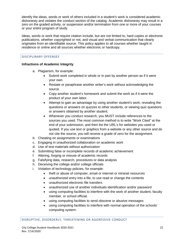identify the ideas, words or work of others included in a student's work is considered academic dishonesty and violates the conduct section of the catalog. Academic dishonesty may result in a zero on the graded activity, or suspension and/or termination from one or more of your courses or your entire program of study.

Ideas, words or work that require citation include, but are not limited to, hard copies or electronic publications, whether copyrighted or not, and visual and verbal communication that clearly originates from an identifiable source. This policy applies to all courses whether taught in residence or online and all sources whether electronic or hardcopy.

# <span id="page-22-0"></span>DISCIPLINARY OFFENSES

# **Infractions of Academic Integrity**

- a. Plagiarism, for example:
	- Submit work completed in whole or in part by another person as if it were your own.
	- Restate or paraphrase another writer's work without acknowledging the source.
	- Copy another student's homework and submit the work as if it were the product of your own labor.
	- Attempt to gain an advantage by using another student's work, revealing the questions or answers on quizzes to other students, or viewing quiz questions or answers obtained by another student.
	- Whenever you conduct research, you MUST include references to the sources you used. The most common method is to write "Work Cited" at the end of your submission, and then list the URL's for websites you used or quoted. If you use text or graphics from a website or any other source and do not cite the source, you will receive a grade of zero for the assignment.
- b. Cheating on assignments or examinations
- c. Engaging in unauthorized collaboration on academic work
- d. Use of test materials without authorization
- e. Submitting false or incomplete records of academic achievement
- f. Altering, forging or misuse of academic records
- g. Falsifying data, research, procedures or data analysis
- h. Deceiving the college and/or college officials
- i. Violation of technology policies, for example:
	- theft or abuse of computer, email or internet or intranet resources
	- unauthorized entry into a file, to use read or change the contents
	- unauthorized electronic file transfers
	- unauthorized use of another individuals identification and/or password
	- using computing facilities to interfere with the work of another student, faculty member, or school official.
	- using computing facilities to send obscene or abusive messages
	- using computing facilities to interfere with normal operation of the schools' computing system.

<span id="page-22-1"></span>DISRUPTIVE, DISORDERLY, THREATENING OR AGGRESSIVE CONDUCT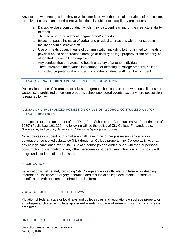Any student who engages in behavior which interferes with the normal operations of the college, inclusive of classes and administrative functions is subject to disciplinary procedures.

- a. Disruptive classroom conduct which inhibits student learning or the instructors ability to teach.
- b. The use of lewd or indecent language and/or conduct.
- c. Breach of peace inclusive of verbal and physical altercations with other students, faculty or administrative staff.
- d. Use of threats by any means of communication including but not limited to, threats of physical abuse and threats to damage or destroy college property or the property of other students or college employees.
- e. Any conduct that threatens the health or safety of another individual.
- f. Theft, attempted theft, vandalism/damage or defacing of college property, collegecontrolled property; or the property of another student, staff member or guest.

# <span id="page-23-0"></span>ILLEGAL OR UNAUTHORIZED POSSESSION OR USE OF WEAPONS

Possession or use of firearms, explosives, dangerous chemicals, or other weapons, likeness of weapons, is prohibited on college property, school sponsored events, except where possession is required by law.

# <span id="page-23-1"></span>ILLEGAL OR UNAUTHORIZED POSSESSION OR USE OF ALCOHOL, CONTROLLED AND/OR ILLEGAL SUBSTANCES

In response to the requirement of the "Drug Free Schools and Communities Act Amendments of 1989" (Public Law 101-226) the following will be the policy of City College Ft. Lauderdale, Gainesville, Hollywood, Miami and Altamonte Springs campuses:

No employee or student of this College shall have in his or her possession any alcoholic beverage or controlled substance (illicit drugs) on College property, any College activity, or at any college sanctioned event, inclusive of externships and clinical sites, whether for personal consumption or distribution to any other personnel or student. Any infraction of this policy will be grounds for immediate dismissal.

# <span id="page-23-2"></span>FALSIFICATION

Falsification is deliberately providing City College and/or its officials with false or misleading information. Inclusive of forgery, alteration and misuse of college documents, records or identification with an intent to defraud or misinform.

# <span id="page-23-3"></span>VIOLATION OF FEDERAL OR STATE LAWS

Violation of federal, state or local laws and college rules and regulations on college property or at college-sanctioned or college sponsored events, inclusive of externships and clinical sites is prohibited.

# <span id="page-23-4"></span>UNAUTHORIZED USE OF COLLEGE FACILITIES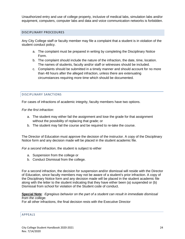Unauthorized entry and use of college property, inclusive of medical labs, simulation labs and/or equipment, computers, computer labs and data and voice communication networks is forbidden.

#### <span id="page-24-0"></span>DISCIPLINARY PROCEDURES

Any City College staff or faculty member may file a complaint that a student is in violation of the student conduct policy.

- a. The complaint must be prepared in writing by completing the Disciplinary Notice Form.
- b. The complaint should include the nature of the infraction, the date, time, location. The names of students, faculty and/or staff or witnesses should be included.
- c. Complaints should be submitted in a timely manner and should account for no more than 48 hours after the alleged infraction, unless there are extenuating circumstances requiring more time which should be documented.

## <span id="page-24-1"></span>DISCIPLINARY SANCTIONS

For cases of infractions of academic integrity, faculty members have two options.

*For the first infraction:*

- a. The student may either fail the assignment and lose the grade for that assignment without the possibility of replacing that grade; or
- b. The student may fail the course and be required to re-take the course.

The Director of Education must approve the decision of the instructor. A copy of the Disciplinary Notice form and any decision made will be placed in the student academic file.

*For a second infraction*, the student is subject to either

- a. Suspension from the college or
- b. Conduct Dismissal from the college.

For a second infraction, the decision for suspension and/or dismissal will reside with the Director of Education, since faculty members may not be aware of a student's prior infraction. A copy of the Disciplinary Notice form and any decision made will be placed in the student academic file along with the letter to the student indicating that they have either been (a) suspended or (b) Dismissal from school for violation of the Student code of conduct.

**Special Note**: *Egregious behavior on the part of a student can result in immediate dismissal from the college.* 

For all other infractions, the final decision rests with the Executive Director

# <span id="page-24-2"></span>APPEALS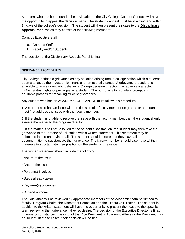A student who has been found to be in violation of the City College Code of Conduct will have the opportunity to appeal the decision made. The student's appeal must be in writing and within 14 days of the college's decision. The student will then present their case to the **Disciplinary Appeals Panel** which may consist of the following members:

Campus Executive Staff

- a. Campus Staff
- b. Faculty and/or Students

The decision of the Disciplinary Appeals Panel is final.

# <span id="page-25-0"></span>GRIEVANCE PROCEDURES

City College defines a grievance as any situation arising from a college action which a student deems to cause them academic, financial or emotional distress. A grievance procedure is available to any student who believes a College decision or action has adversely affected his/her status, rights or privileges as a student. The purpose is to provide a prompt and equitable process for resolving student grievances.

Any student who has an ACADEMIC GRIEVANCE must follow this procedure:

1. A student who has an issue with the decision of a faculty member on grades or attendance must first address the issue with the faculty member.

2. If the student is unable to resolve the issue with the faculty member, then the student should elevate the matter to the program director.

3. If the matter is still not resolved to the student's satisfaction, the student may then take the grievance to the Director of Education with a written statement. This statement may be submitted in person or via email. The student should ensure that they have all the documentation to substantiate their grievance. The faculty member should also have all their materials to substantiate their position on the student's grievance.

The written statement should include the following:

- Nature of the issue
- Date of the issue
- Person(s) involved
- Steps already taken
- Key area(s) of concern
- Desired outcome

The Grievance will be reviewed by appropriate members of the Academic team not limited to faculty, Program Chairs, the Director of Education and the Executive Director. The student in addition to the written statement will have the opportunity to present their case to the specific team reviewing their grievance if they so desire. The decision of the Executive Director is final. In some circumstances, the input of the Vice President of Academic Affairs or the President may be sought. In these cases, their decision will be final.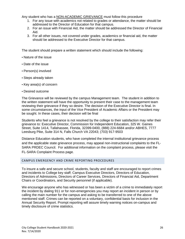Any student who has a NON-ACADEMIC GRIEVANCE must follow this procedure

- 1. For any issue with academics not related to grades or attendance, the matter should be addressed to the Director of Education for that campus.
- 2. For an issue with Financial Aid, the matter should be addressed the Director of Financial Aid.
- 3. For all other issues, not covered under grades, academics or financial aid, the matter should be addressed to the Executive Director for that campus.

The student should prepare a written statement which should include the following:

- Nature of the issue
- Date of the issue
- Person(s) involved
- Steps already taken
- Key area(s) of concern
- Desired outcome

The Grievance will be reviewed by the campus Management team. The student in addition to the written statement will have the opportunity to present their case to the management team reviewing their grievance if they so desire. The decision of the Executive Director is final. In some circumstances, the input of the Vice President of Academic Affairs or the President may be sought. In these cases, their decision will be final

Students who feel a grievance is not resolved by the college to their satisfaction may refer their grievance to: Executive Director, Commission for Independent Education, 325 W. Gaines Street, Suite 1414, Tallahassee, Florida, 32399-0400, (888) 224-6684 and/or ABHES, 7777 Leesburg Pike, Suite 314 N, Falls Church VA 22043; (703) 917-9503

Distance Education students, who have completed the internal institutional grievance process and the applicable state grievance process, may appeal non‐instructional complaints to the FL‐ SARA PRDEC Council. For additional information on the complaint process, please visit the FL‐SARA Complaint Process page.

#### <span id="page-26-0"></span>CAMPUS EMERGENCY AND CRIME REPORTING PROCEDURES

To insure a safe and secure school, students, faculty and staff are encouraged to report crimes and incidents to College key staff; Campus Executive Directors, Directors of Education, Directors of Admissions, Directors of Career Services, Directors of Financial Aid, Department Chairs or Coordinators, and Security personnel (if applicable).

We encourage anyone who has witnessed or has been a victim of a crime to immediately report the incident by dialing 911 or for non-emergencies you may report an incident in person or by calling the main number for the campus and asking to be transferred to one of the above mentioned staff. Crimes can be reported on a voluntary, confidential basis for inclusion in the Annual Security Report. Prompt reporting will assure timely warning notices on-campus and timely disclosure of crime statistics.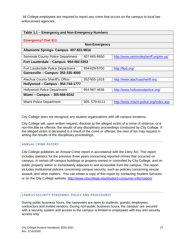All College employees are required to report any crime that occurs on the campus to local law enforcement agencies.

| Table 1.1 - Emergency and Non-Emergency Numbers |                      |                                       |  |
|-------------------------------------------------|----------------------|---------------------------------------|--|
| <b>Emergency? Dial 911</b>                      |                      |                                       |  |
|                                                 | <b>Non-Emergency</b> |                                       |  |
| Altamonte Springs- Campus- 407-831-9816         |                      |                                       |  |
| Seminole County Police Department               | 407-665-6650         | http://www.seminolesheriff.org/en-us/ |  |
| Fort Lauderdale - Campus- 954-492-5353          |                      |                                       |  |
| Fort Lauderdale Police Department               | 954-828-5700         | http://flpd.org/                      |  |
| Gainesville - Campus- 352-335-4000              |                      |                                       |  |
| Alachua County Sheriff's Office                 | 352-955-1818         | http://www.alachuasheriff.org         |  |
| Hollywood - Campus - 954-744-1777               |                      |                                       |  |
| <b>Hollywood Police Department</b>              | 954-967-4636         | http://www.hollywoodpolice.org/       |  |
| Miami - Campus - 305-666-9242                   |                      |                                       |  |
| Miami Police Department                         | 305-579-6111         | http://www.miami-police.org/index.asp |  |

City College does not recognize any student organizations with off-campus locations.

City College will, upon written request, disclose to the alleged victim of a crime of violence, or a non-forcible ex offense, the results of any disciplinary proceedings conducted by City College. If the alleged victim is deceased is a result of the crime or offense, the next of kin may request in writing the results of the disciplinary proceedings.

# <span id="page-27-0"></span>ANNUAL CRIME REPORT

City College publishes an Annual Crime report in accordance with the Clery Act. This report includes statistics for the previous three years concerning reported crimes that occurred on campus, in certain off-campus buildings or property owned or controlled by City College, and on public property within or immediately adjacent to and accessible from the campus. The report includes institutional policies concerning campus security, such as policies concerning sexual assault, and other matters. You can obtain a copy of this report by contacting Student Services or on the City College website,<http://www.citycollege.edu/student-consumer-information/>

# <span id="page-27-1"></span>CAMPUS SECURITY PERSONNEL POLICY AND PROCEDURES

During public business hours, the campuses are open to students, guests, employees, contractors and invited vendors. During non-public business hours, the campus' are secured with a security system and access to the campus is limited to employees with key and security access only.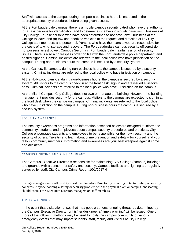Staff with access to the campus during non-public business hours is instructed in the appropriate security procedures before being given access.

At the Fort Lauderdale campus, there is a mobile campus security patrol who have the authority to (a) ask persons for identification and to determine whether individuals have lawful business at City College; (b) ask persons who have been determined to not have lawful business at the College to leave and (a) tow unauthorized vehicles at the request and direction of key City College staff members and personnel. Persons who have their cars towed are responsible for the costs of towing, storage and recovery. The Fort Lauderdale campus security officer(s) do not possess arrest power. Campus Security in Fort Lauderdale maintains a log of security issues. There is also a no trespass order on file with the Fort Lauderdale police department and posted signage. Criminal incidents are referred to the local police who have jurisdiction on the campus. During non-business hours the campus is secured by a security system

At the Gainesville campus, during non-business hours, the campus is secured by a security system. Criminal incidents are referred to the local police who have jurisdiction on campus.

At the Hollywood campus, during non-business hours, the campus is secured by a security system. All visitors to the campus check in at the front desk, sign in and are issued a visitor's pass. Criminal incidents are referred to the local police who have jurisdiction on the campus.

At the Miami Campus, City College does not own or manage the building. However, the building management provides security for the campus. Visitors to the campus are expected to sign in at the front desk when they arrive on campus. Criminal incidents are referred to the local police who have jurisdiction on the campus. During non-business hours the campus is secured by a security system.

# <span id="page-28-0"></span>SECURITY AWARENESS

The security awareness programs and information described below are designed to inform the community, students and employees about campus security procedures and practices. City College encourages students and employees to be responsible for their own security and the security of others. Take time to learn about crime prevention and safety – for yourself and your fellow community members. Information and awareness are your best weapons against crime and accidents.

#### <span id="page-28-1"></span>CAMPUS LIGHTING AND PHYSICAL PLANT

The Campus Executive Director is responsible for maintaining City College (campus) buildings and grounds with a concern for safety and security. Campus facilities and lighting are regularly surveyed by staff. City Campus Crime Report 10/1/2017 4

College managers and staff on duty assist the Executive Director by reporting potential safety or security concerns. Anyone noticing a safety or security problem with the physical plant or campus landscaping should contact the Executive Director, managers or staff members.

#### TIMELY WARNINGS

In the event that a situation arises that may pose a serious, ongoing threat, as determined by the Campus Executive Director or his/her designee, a "timely warning" will be issued. One or more of the following methods may be used to notify the campus community of various emergency events that may impact students, staff, faculty and visitors at City College: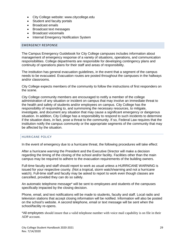- City College website: www.citycollege.edu
- Student and faculty portals
- Broadcast emails
- Broadcast text messages
- Broadcast voicemails
- Internal Emergency Notification System

#### <span id="page-29-0"></span>EMERGENCY RESPONSE

The Campus Emergency Guidebook for City College campuses includes information about management of emergency response of a variety of situations, operations, and communication responsibilities. College departments are responsible for developing contingency plans and continuity of operations plans for their staff and areas of responsibility.

The institution has general evacuation guidelines, in the event that a segment of the campus needs to be evacuated. Evacuation routes are posted throughout the campuses in the hallways and/or classrooms.

City College expects members of the community to follow the instructions of first responders on the scene.

City College community members are encouraged to notify a member of the college administration of any situation or incident on campus that may involve an immediate threat to the health and safety of students and/or employees on campus. City College has the responsibility of responding to, and summoning the necessary resources, to mitigate, investigate, and document any situation that may cause a significant emergency or dangerous situation. In addition, City College has a responsibility to respond to such incidents to determine if the situation does, in fact, pose a threat to the community. If so, Federal Law requires that the institution notify the campus community or the appropriate segments of the community that may be affected by the situation.

#### <span id="page-29-1"></span>HURRICANE POLICY

In the event of emergency due to a hurricane threat, the following procedures will take effect:

After a hurricane *warning* the President and the Executive Director will make a decision regarding the timing of the closing of the school and/or facility. Facilities other than the main campus may be required to adhere to the evacuation requirements of the building owners.

Full-time faculty and staff should report to work as usual unless a HURRICANE WARNING is issued for your respective county. (Not a tropical, storm watch/warning and not a hurricane watch). Full-time staff and faculty may be asked to report to work even though classes are cancelled, provided they can do so safely.

An automatic telephone message\* will be sent to employees and students of the campuses specifically impacted by the closing decision.

Phone, email, and text notifications will be made to students, faculty and staff. Local radio and television stations that accept closing information will be notified. Information will also be posted on the school's website. A second telephone, email or text message will be sent when the school/facility re-opens.

\*All employees should insure that a valid telephone number with voice mail capability is on file in their ADP account.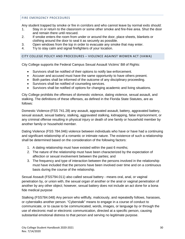# <span id="page-30-0"></span>FIRE EMERGENCY PROCEDURES

Any student trapped by smoke or fire in corridors and who cannot leave by normal exits should:

- 1. Stay in or return to the classroom or some other smoke and fire-free area. Shut the door and remain there until rescued.
- 2. If smoke enters the room from under or around the door, place sheets, blankets or clothing around the door to seal it as securely as possible.
- 3. Open windows from the top in order to evacuate any smoke that may enter.
- <span id="page-30-1"></span>4. Try to stay calm and signal firefighters of your location.

# CITY COLLEGE POLICY AND PROCEDURES – VIOLENCE AGAINST WOMEN ACT (VAWA)

City College supports the Federal Campus Sexual Assault Victims' Bill of Rights:

- Survivors shall be notified of their options to notify law enforcement.
- Accuser and accused must have the same opportunity to have others present.
- Both parties shall be informed of the outcome of any disciplinary proceeding.
- Survivors shall be notified of counseling services.
- Survivors shall be notified of options for changing academic and living situations.

City College prohibits the offenses of domestic violence, dating violence, sexual assault, and stalking. The definitions of these offenses, as defined in the Florida State Statutes, are as follows:

Domestic Violence-(FSS 741.28) any assault, aggravated assault, battery, aggravated battery, sexual assault, sexual battery, stalking, aggravated stalking, kidnapping, false imprisonment, or any criminal offense resulting in physical injury or death of one family or household member by another family or household member.

Dating Violence (FSS 784.046) violence between individuals who have or have had a continuing and significant relationship of a romantic or intimate nature. The existence of such a relationship shall be determined based on the consideration of the following factors:

- 1. A dating relationship must have existed within the past 6 months;
- 2. The nature of the relationship must have been characterized by the expectation of affection or sexual involvement between the parties; and
- 3. The frequency and type of interaction between the persons involved in the relationship must have included that the persons have been involved over time and on a continuous basis during the course of the relationship.

Sexual Assault (FSS794.011) also called sexual battery - means oral, anal, or vaginal penetration by, or union with, the sexual organ of another or the anal or vaginal penetration of another by any other object; however, sexual battery does not include an act done for a bona fide medical purpose

Stalking (FSS784.048) Any person who willfully, maliciously, and repeatedly follows, harasses, or cyberstalks another person. "Cyberstalk" means to engage in a course of conduct to communicate, or to cause to be communicated, words, images, or language by or through the use of electronic mail or electronic communication, directed at a specific person, causing substantial emotional distress to that person and serving no legitimate purpose.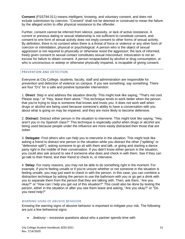**Consent** (FSS794.011) means intelligent, knowing, and voluntary consent, and does not include submission by coercion. "Consent" shall not be deemed or construed to mean the failure by the alleged victim to offer physical resistance to the offender.

Further, consent cannot be inferred from silence, passivity, or lack of active resistance. A current or previous dating or sexual relationship is not sufficient to constitute consent, and consent to one form of sexual activity does not imply consent to other forms of sexual activity. By definition, there is no consent when there is a threat of force or violence or any other form of coercion or intimidation, physical or psychological. A person who is the object of sexual aggression is not required to physically or otherwise resist the aggressor; the lack of informed, freely given consent to sexual contact constitutes sexual misconduct. Intoxication is not an excuse for failure to obtain consent. A person incapacitated by alcohol or drug consumption, or who is unconscious or asleep or otherwise physically impaired, is incapable of giving consent.

## <span id="page-31-0"></span>PREVENTION AND DETECTION

Everyone at City College, students, faculty, staff and administration are responsible for prevention and detection of violence on campus. If you see something, say something. There are four "D's" for a safe and positive bystander intervention:

1. **Direct**: Step in and address the situation directly. This might look like saying, "That's not cool. Please stop." or "Hey, leave them alone." This technique tends to work better when the person that you're trying to stop is someone that knows and trusts you. It does not work well when drugs or alcohol are being used because someone's ability to have a conversation with you about what is going on may be impaired, and they are more likely to become defensive.

2. **Distract:** Distract either person in the situation to intervene. This might look like saying, "Hey, aren't you in my Spanish class?" This technique is especially useful when drugs or alcohol are being used because people under the influence are more easily distracted then those that are sober.

3. **Delegate:** Find others who can help you to intervene in the situation. This might look like asking a friend to distract one person in the situation while you distract the other ("splitting" or "defensive split"), asking someone to go sit with them and talk, or going and starting a dance party right in the middle of their conversation. If you didn't know either person in the situation, you could also ask around to see if someone else does and check in with them. See if they can go talk to their friend, text their friend to check in, or intervene.

4. **Delay:** For many reasons, you may not be able to do something right in the moment. For example, if you're feeling unsafe or if you're unsure whether or not someone in the situation is feeling unsafe, you may just want to check in with the person. In this case, you can combine a distraction technique by asking the person to use the bathroom with you or go get a drink with you to separate them from the person that they are talking with. Then, ask them, "Are you okay?" or "How can I help you get out of this situation?" This could also be done by texting the person, either in the situation or after you see them leave and asking, "Are you okay?" or "Do you need help?"

# WARNING SIGNS OF ABUSIVE BEHAVIOR

Knowing the warning signs of abusive behavior is important to mitigate your risk. The following are just a few behavioral signs:

• *Jealousy* – excessive questions about who a partner spends time with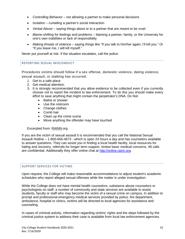- *Controlling Behavior* not allowing a partner to make personal decisions
- *Isolation* curtailing a partner's social interaction
- *Verbal Abuse* saying things about or to a partner that are meant to be cruel
- *Blame-shifting* for feelings and problems blaming a partner, family, or the University for one's own inabilities or lack of responsibility
- *Making threats of violence*  saying things like "If you talk to him/her again, I'll kill you." Or "If you leave me, I will kill myself."

Never put yourself at risk. If the situation escalates, call the police.

# <span id="page-32-0"></span>REPORTING SEXUAL MISCONDUCT

Procedures victims should follow if a sex offense, domestic violence, dating violence, sexual assault, or stalking has occurred.

- 1. Get to a safe place
- 2. Get medical attention.
- 3. It is strongly recommended that you allow evidence to be collected even if you currently choose not to report the incident to law enforcement. To do this you should make every effort to save anything that might contain the perpetrator's DNA. Do Not:
	- Bathe or shower
	- Use the restroom
	- Change clothes
	- Comb hair
	- Clean up the crime scene
	- Move anything the offender may have touched

#### Excerpted from: [RAINN.](https://rainn.org/get-information/aftermath-of-sexual-assault/preserving-and-collecting-forensic-evidence)org

If you are the victim of sexual assault it is recommended that you call the National Sexual Assault Hotline – 1-800-656-4673 - which is open 24 hours a day and has counselors available to answer questions. They can assist you in finding a local health facility, local resources for haling and recovery, referrals for longer term support, review basic medical concerns. All calls are confidential. Additionally they offer online chat at [http://online.rainn.org.](http://online.rainn.org/)

#### <span id="page-32-1"></span>SUPPORT SERVICES FOR VICTIMS

Upon request, the College will make reasonable accommodations to adjust student's academic schedules who report alleged sexual offenses while the matter is under investigation.

While the College does not have mental health counselors, substance abuse counselors or psychologists on staff, a number of community and state services are available to assist students, faculty or staff who may become the victim of a sexual crime on campus. In addition to prompt and professional emergency medical services provided by police, fire department, ambulance, hospital or clinics, victims will be directed to local agencies for assistance and counseling.

In cases of criminal activity, information regarding victims' rights and the steps followed by the criminal justice system to address their case is available from local law enforcement agencies.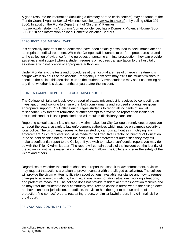A good resource for information (including a directory of rape crisis centers) may be found at the Florida Council Against Sexual Violence website <http://www.fcasv.org/> or by calling (850) 297- 2000. In addition the Florida Department of Children & Families, [http://www.dcf.state.fl.us/programs/domesticviolence/,](http://www.dcf.state.fl.us/programs/domesticviolence/) has a Domestic Violence Hotline (800-

500-1119) and information on local Domestic Violence Centers.

#### <span id="page-33-0"></span>RESOURCES FOR MEDICAL CARE

It is especially important for students who have been sexually assaulted to seek immediate and appropriate medical treatment. While the College staff is unable to perform procedures related to the collection of evidence for the purposes of pursuing criminal prosecution, they can provide assistance and support when a student requests or requires transportation to the hospital or assistance with notification of appropriate authorities.

Under Florida law, the tests and procedures at the hospital are free of charge if treatment is sought within 96 hours of the assault. Emergency Room staff may ask if the student wishes to speak to the police; this decision is up to the student. Current students may seek counseling at any time, whether it is days, months or years after the incident.

# <span id="page-33-1"></span>FILING A CAMPUS REPORT OF SEXUAL MISCONDUCT

The College will take seriously every report of sexual misconduct it receives by conducting an investigation and working to ensure that both complainants and accused students are given appropriate support. City College encourages students to report all incidents of sexual misconduct. Any threat of retaliation or other attempt to prevent the report of an incident of sexual misconduct is itself prohibited and will result in disciplinary sanctions.

Reporting sexual assault is a choice the victim makes but City College strongly encourages you to report the sexual assault to law enforcement authorities which may be on campus security or local police. The victim may request to be assisted by campus authorities in notifying law enforcement. Such requests should be made to the Executive Director or Director of Education. If the student decides not to report the assault to law enforcement authorities they may still make a confidential report to the College. If you wish to make a confidential report, you may do so with the Title IX Administrator. The report will contain details of the incident but the identity of the victim will not be revealed. A confidential report allows the College to insure the safety of the victim and others.

Regardless of whether the student chooses to report the assault to law enforcement, a victim may request that actions are taken to prevent contact with the alleged assailant(s). The college will provide the victim written notification about options, available assistance and how to request changes to academic situations, living situations, transportation situations, working situations, and protective measures. The college does not provide residential or transportation facilities and so may refer the student to local community resources to assist in areas where the college does not have control or jurisdiction. In addition, the victim has the right to pursue orders of protection, "no-contact" orders, restraining orders, or similar lawful orders in a criminal, civil or tribal court.

# <span id="page-33-2"></span>PRIVACY AND CONFIDENTIALITY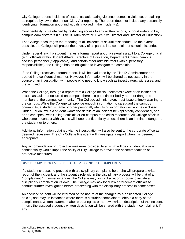City College reports incidents of sexual assault, dating violence, domestic violence, or stalking as required by law in the annual Clery Act reporting. The report does not include any personally identifying information about individuals involved in the incident(s).

Confidentiality is maintained by restricting access to any written reports, or court orders to key campus administrators (i.e. Title IX Administrator, Executive Director and Director of Education)

The College encourages the reporting of all incidents of sexual misconduct. To the extent possible, the College will protect the privacy of all parties in a complaint of sexual misconduct.

Under federal law, if a student makes a formal report about a sexual assault to a College official (e.g., officials within Student Affairs, Directors of Education, Department Chairs, campus security personnel (if applicable), and certain other administrators with supervisory responsibilities), the College has an obligation to investigate the complaint.

If the College receives a formal report, it will be evaluated by the Title IX Administrator and treated in a confidential manner. However, information will be shared as necessary in the course of an investigation with people who need to know such as investigators, witnesses, and the accused.

When the College, through a report from a College official, becomes aware of an incident of sexual assault that occurred on-campus, there is a potential for bodily harm or danger to members of the campus community. The College administrators must issue a timely warning to the campus. While the College will provide enough information to safeguard the campus community, a student's name or other personally identifying information will not be disclosed. Under Florida law, if a student wants the details of an incident be kept strictly confidential, she or he can speak with College officials or off-campus rape crisis resources. All College officials who come in contact with victims will honor confidentiality unless there is an imminent danger to the student or to others.

Additional information obtained via the investigation will also be sent to the corporate office as deemed necessary. The City College President will investigate a report when it is deemed appropriate.

Any accommodation or protective measures provided to a victim will be confidential unless confidentiality would impair the ability of City College to provide the accommodations of protective measures.

# <span id="page-34-0"></span>DISCIPLINARY PROCESS FOR SEXUAL MISCONDUCT COMPLAINTS

If a student chooses to proceed with a disciplinary complaint, he or she will prepare a written report of the incident, and the student's role within the disciplinary process will be that of a "complainant." In some instances, the College may, in its discretion, choose to initiate a disciplinary complaint on its own. The College may ask local law enforcement officials to conduct further investigation before proceeding with the disciplinary process in some cases.

An accused student will be informed of the nature of the charges by a designated College official, and may, in instances where there is a student complainant, obtain a copy of the complainant's written statement after preparing his or her own written description of the incident. In turn, the accused student's written description will be shared with the student complainant, if any.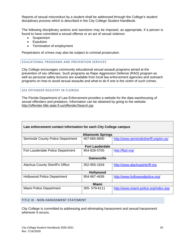Reports of sexual misconduct by a student shall be addressed through the College's student disciplinary process which is described in the City College Student Handbook.

The following disciplinary actions and sanctions may be imposed, as appropriate, if a person is found to have committed a sexual offense or an act of sexual violence:

- Suspension
- Expulsion
- Termination of employment

<span id="page-35-0"></span>Perpetrators of crimes may also be subject to criminal prosecution.

#### EDUCATIONAL PROGRAMS AND PREVENTION SERVICES

City College encourages community educational sexual assault programs aimed at the prevention of sex offenses. Such programs as Rape Aggression Defense (RAD) program as well as personal safety lectures are available from local law enforcement agencies and outreach programs on how to avoid sexual assaults and what to do if one is the victim of such crimes.

## <span id="page-35-1"></span>SEX OFFENDER REGISTRY IN FLORIDA

The Florida Department of Law Enforcement provides a website for the data warehousing of sexual offenders and predators. Information can be obtained by going to the website: <http://offender.fdle.state.fl.us/offender/Search.jsp>

| Law enforcement contact information for each City College campus |                          |                                       |  |
|------------------------------------------------------------------|--------------------------|---------------------------------------|--|
|                                                                  | <b>Altamonte Springs</b> |                                       |  |
| <b>Seminole County Police Department</b>                         | 407-665-6650             | http://www.seminolesheriff.org/en-us/ |  |
|                                                                  | <b>Fort Lauderdale</b>   |                                       |  |
| Fort Lauderdale Police Department                                | 954-828-5700             | http://flpd.org/                      |  |
| <b>Gainesville</b>                                               |                          |                                       |  |
| Alachua County Sheriff's Office                                  | 352-955-1818             | http://www.alachuasheriff.org         |  |
| Hollywood                                                        |                          |                                       |  |
| <b>Hollywood Police Department</b>                               | 954-967-4636             | http://www.hollywoodpolice.org/       |  |
| <b>Miami</b>                                                     |                          |                                       |  |
| Miami Police Department                                          | 305-579-6111             | http://www.miami-police.org/index.asp |  |

#### <span id="page-35-2"></span>TITLE IX - NON-HARASSMENT STATEMENT

City College is committed to addressing and eliminating harassment and sexual harassment wherever it occurs.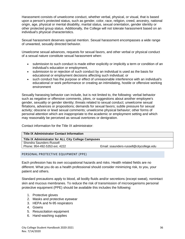Harassment consists of unwelcome conduct, whether verbal, physical, or visual, that is based upon a person's protected status, such as gender, color, race, religion, creed, ancestry, national origin, age, physical or mental disability, marital status, sexual orientation, gender identity or other protected group status. Additionally, the College will not tolerate harassment based on an individual's physical characteristics.

Sexual harassment deserves special mention. Sexual harassment encompasses a wide range of unwanted, sexually directed behavior.

Unwelcome sexual advances, requests for sexual favors, and other verbal or physical conduct of a sexual nature constitute sexual harassment when:

- submission to such conduct is made either explicitly or implicitly a term or condition of an individual's education or employment,
- submission to or rejection of such conduct by an individual is used as the basis for educational or employment decisions affecting such individual; or
- such conduct has the purpose or effect of unreasonable interference with an individual's educational or work performance or creating an intimidating, hostile or offensive working environment

Sexually harassing behavior can include, but is not limited to, the following: verbal behavior such as negative or offensive comments, jokes, or suggestions about another employee's gender, sexuality or gender identity; threats related to sexual conduct; unwelcome sexual flirtations, advances or propositions; demands for sexual favors; subtle pressure for sexual activity; obscene or lewd sexual comments; unwelcome physical behavior; other forms of personal attention which are inappropriate to the academic or employment setting and which may reasonably be perceived as sexual overtones or denigration.

Contact information for the Title IX administrator:

| Title IX Administrator for ALL City College Campuses |
|------------------------------------------------------|
|                                                      |
| Email: ssaunders-russell@citycollege.edu             |
|                                                      |

<span id="page-36-0"></span>PERSONAL PROTECTIVE EQUIPMENT (PPE)

Each profession has its own occupational hazards and risks. Health related fields are no different. What you do as a health professional should consider minimizing risk, to you, your patient and others.

Standard precautions apply to blood, all bodily fluids and/or secretions (except sweat), nonintact skin and mucous membranes. To reduce the risk of transmission of microorganisms personal protective equipment (PPE) should be available this includes the following:

- 1. Protective gloves
- 2. Masks and protective eyewear
- 3. HEPA and N-95 respirators
- 4. Gowns
- 5. Resuscitation equipment
- 6. Hand-washing supplies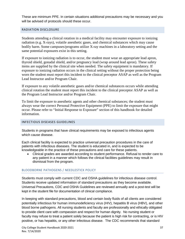These are minimum PPE. In certain situations additional precautions may be necessary and you will be advised of protocols should these occur.

# <span id="page-37-0"></span>RADIATION DISCLOSURE

Students attending a clinical rotation in a medical facility may encounter exposure to ionizing radiation (e.g. X-rays), volatile anesthetic gases, and chemical substances which may cause bodily harm. Some campuses/programs utilize X-ray machines in a laboratory setting and the same potential exposures exist in this setting.

If exposure to ionizing radiation is to occur, the student must wear an appropriate lead apron, thyroid shield, gonadal shield, and/or pregnancy lead (wrap around lead apron). These safety items are supplied by the clinical site when needed. The safety equipment is mandatory. If exposure to ionizing radiation occurs in the clinical setting without the proper protection being worn the student must report this incident to the clinical preceptor ASAP as well as the Program Lead Instructor and/or Program Chair.

If exposure to any volatile anesthetic gases and/or chemical substances occurs while attending clinical rotation the student must report this incident to the clinical preceptor ASAP as well as the Program Lead Instructor and/or Program Chair.

To limit the exposure to anesthetic agents and other chemical substances; the student must always wear the correct Personal Protective Equipment (PPE) to limit the exposure that might occur. Please refer to "Initial Response to Exposure" section of this handbook for detailed information.

# <span id="page-37-1"></span>INFECTIOUS DISEASES GUIDELINES

Students in programs that have clinical requirements may be exposed to infectious agents which cause disease.

Each clinical facility is expected to practice universal precaution procedures in the care of patients with infectious diseases. The student is educated in, and is expected to be knowledgeable in the practice of these precautions and care for these patients.

• Clinical grades are awarded according to student performance. Refusal to render care to any patient in a manner which follows the clinical facilities guidelines may result in dismissal from the program.

# BLOODBORNE PATHOGENS / NEEDLESTICK POLICY

Students must comply with current CDC and OSHA guidelines for infectious disease control. Students receive updated information of standard precautions as they become available. Universal Precautions, CDC and OSHA Guidelines are reviewed annually and a post-test will be kept in the student file for documentation of clinical compliance.

In keeping with standard precautions, blood and certain body fluids of all clients are considered potentially infectious for human immunodeficiency virus (HIV), hepatitis B virus (HBV), and other blood borne pathogens. All nursing students and faculty are professionally and ethically obligated to provide client care with compassion and respect for human dignity. No nursing student or faculty may refuse to treat a patient solely because the patient is high risk for contracting, or is HIV positive, or has hepatitis, or any other infectious disease. The CDC recommends that standard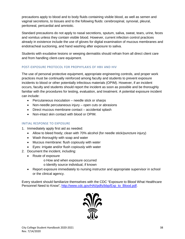precautions apply to blood and to body fluids containing visible blood, as well as semen and vaginal secretions, to tissues and to the following fluids: cerebrospinal, synovial, pleural, peritoneal, pericardial and amniotic.

Standard precautions do not apply to nasal secretions, sputum, saliva, sweat, tears, urine, feces and vomitus unless they contain visible blood. However, current infection control practices already in existence include the use of gloves for digital examination of mucous membranes and endotracheal suctioning, and hand washing after exposure to saliva.

Students with exudative lesions or weeping dermatitis should refrain from all direct client care and from handling client-care equipment.

# POST-EXPOSURE PROTOCOL FOR PROPHYLAXIS OF HBV AND HIV

The use of personal protective equipment, appropriate engineering controls, and proper work practices must be continually reinforced among faculty and students to prevent exposure incidents to blood or other potentially infectious materials (OPIM). However, if an incident occurs, faculty and students should report the incident as soon as possible and be thoroughly familiar with the procedures for testing, evaluation, and treatment. A potential exposure incident can include:

- Percutaneous inoculation needle stick or sharps
- Non-needle percutaneous injury open cuts or abrasions
- Direct mucous membrane contact accidental splash
- Non-intact skin contact with blood or OPIM.

# INITIAL RESPONSE TO EXPOSURE

- 1. Immediately apply first aid as needed:
	- Allow to bleed freely; clean with 70% alcohol (for needle stick/puncture injury)
	- Wash thoroughly with soap and water
	- Mucous membrane: flush copiously with water
	- Eyes: irrigate and/or flush copiously with water
- 2. Document the incident, including:
	- Route of exposure
		- o How and when exposure occurred
		- o Identify source individual, if known
	- Report exposure immediately to nursing instructor and appropriate supervisor in school or the clinical agency.

Every student should familiarize themselves with the CDC "Exposure to Blood What Healthcare Personnel Need to Know", [http://www.cdc.gov/HAI/pdfs/bbp/Exp\\_to\\_Blood.pdf.](http://www.cdc.gov/HAI/pdfs/bbp/Exp_to_Blood.pdf)

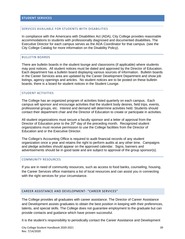#### <span id="page-39-1"></span><span id="page-39-0"></span>SERVICES AVAILABLE FOR STUDENTS WITH DISABILITIES

In compliance with the Americans with Disabilities Act (ADA), City College provides reasonable accommodations to students with professionally diagnosed and documented disabilities. The Executive Director for each campus serves as the ADA Coordinator for that campus. (see the City College Catalog for more information on the Disability Policy).

#### <span id="page-39-2"></span>BULLETIN BOARDS

There are bulletin boards in the student lounge and classrooms (if applicable) where students may post notices. All student notices must be dated and approved by the Director of Education. Each department has a bulletin board displaying various sources of information. Bulletin boards in the Career Services area are updated by the Career Development Department and show job listings, agency openings and articles. No student notices are to be posted on these bulletin boards; there is a board for student notices in the Student Lounge.

## <span id="page-39-3"></span>STUDENT ACTIVITIES

The College has an organized program of activities listed quarterly on each campus. Each campus will sponsor and encourage activities that the student body desires, field trips, events, professional groups, etc. Interest and demand will determine activities held. Students should contact their department chair and the Director of Education to create or participate in activities.

All student organizations must secure a faculty sponsor and a letter of approval from the Director of Education prior to the  $20<sup>th</sup>$  day of the preceding month. Recognized student organizations must receive permission to use the College facilities from the Director of Education and or the Executive Director.

The College's Accounting Office is required to audit financial records of any student organization once a year and retains the right to perform audits at any other time. Campaigns and pledge activities should appear on the approved calendar. Signs, banners and advertisements should be in good taste and are subject to approval of the group sponsor(s).

#### <span id="page-39-4"></span>COMMUNITY RESOURCES

If you are in need of community resources, such as access to food banks, counseling, housing, the Career Services office maintains a list of local resources and can assist you in connecting with the right services for your circumstance.

#### <span id="page-39-5"></span>CAREER ASSISTANCE AND DEVELOPMENT- "CAREER SERVICES"

The College provides all graduates with career assistance. The Director of Career Assistance and Development assists graduates to obtain the best position in keeping with their preferences, talents, and special skills. The College does not guarantee employment to the graduate but can provide contacts and guidance which have proven successful.

It is the student's responsibility to periodically contact the Career Assistance and Development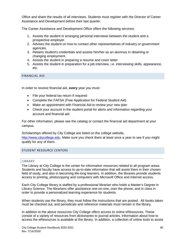Office and share the results of all interviews. Students must register with the Director of Career Assistance and Development before their last quarter.

The Career Assistance and Development Office offers the following services:

- 1. Assists the student in arranging personal interviews between the student and a prospective employer.
- 2. Advises the student on how to contact other representatives of industry or government agencies.
- 3. Retains student's credentials and assists him/her as an alumnus in obtaining or changing employment.
- 4. Assists the student in preparing a resume and cover letter.
- 5. Assists the student in preparation for a job interview, i.e. interviewing skills, appearance, etc.

## <span id="page-40-0"></span>FINANCIAL AID

In order to receive financial aid, **every** year you must:

- File your federal tax return if required
- Complete the FAFSA (Free Application for Federal Student Aid)
- Make an appointment with Financial Aid to review your new plan
- Check your account in the student portal for alerts and information regarding your account and financial aid.

For other information, please see the catalog or contact the financial aid department at your campus.

Scholarships offered by City College are listed on the college website,

[http://www.citycollege.edu.](http://www.citycollege.edu/) Make sure you check them at least once a year to see if you might qualify for any of them.

# <span id="page-40-2"></span><span id="page-40-1"></span>STUDENT RESOURCE CENTERS

#### LIBRARY

The Library at City College is the center for information resources related to all program areas. Students and faculty have access to up-to-date information that will assist them in their chosen field of study, and also in becoming life-long learners. In addition, the libraries provide students access to printing, photocopying and computers with Microsoft Office and Internet access.

Each City College library is staffed by a professional librarian who holds a Master's Degree in Library Science. The librarians offer assistance one-on-one, over the phone, and in class in order to provide a personalized learning experience for students.

When students use the library, they must follow the instructions that are posted. All books taken must be checked out, and periodicals and reference materials must remain in the library.

In addition to the above resources City College offers access to online eResources. These consist of a variety of resources from dictionaries to journal articles. Information about how to access the eResources is available at the library. In addition, a collection of online tools to assist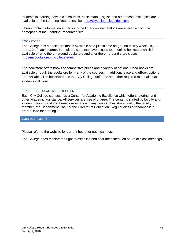students in learning how to cite sources, basic math, English and other academic topics are available on the Learning Resources site, [http://citycollege.libguides.com.](http://citycollege.libguides.com/)

Library contact information and links to the library online catalogs are available from the homepage of the Learning Resources site.

#### <span id="page-41-0"></span>BOOKSTORE

The College has a bookstore that is available as a just in time on ground facility weeks 10, 11 and 1, 2 of each quarter. In addition, students have access to an online bookstore which is available prior to the on-ground bookstore and after the on-ground store closes, [http://mybookstore.citycollege.edu/.](http://mybookstore.citycollege.edu/)

The bookstore offers books at competitive prices and a variety of options. Used books are available through the bookstore for many of the courses. In addition, lease and eBook options are available. The bookstore has the City College uniforms and other required materials that students will need.

#### <span id="page-41-1"></span>CENTER FOR ACADEMIC EXCELLENCE

Each City College campus has a Center for Academic Excellence which offers tutoring, and other academic assistance. All services are free of charge. The center is staffed by faculty and student tutors. If a student needs assistance in any course, they should notify the faculty member, the Department Chair or the Director of Education. Regular class attendance is a prerequisite for tutoring.

#### <span id="page-41-2"></span>**COLLEGE HOURS**

Please refer to the website for current hours for each campus.

The College does reserve the right to establish and alter the scheduled hours of class meetings.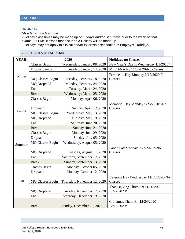# <span id="page-42-0"></span>**CALENDAR**

# <span id="page-42-1"></span>HOLIDAYS

*\*Academic holidays note*:

- Holiday class times may be made up on Fridays and/or Saturdays prior to the week of final exams. All EMS classes that occur on a Holiday will be made up.

- Holidays may not apply to clinical and/or externship schedules -\* Employee Holidays

# <span id="page-42-2"></span>2020 ACADEMIC CALENDAR

<span id="page-42-3"></span>

| <b>YEAR:</b> |                         | 2020                         | <b>Holidays-no Classes</b>                        |
|--------------|-------------------------|------------------------------|---------------------------------------------------|
|              | <b>Classes Begin</b>    | Wednesday, January 08, 2020  | New Year's Day is Wednesday 1/1/2020*             |
|              | Drop/add ends           | Tuesday, January 14, 2020    | MLK Monday 1/20/2020-No Classes                   |
| Winter       | <b>MQ Classes Begin</b> | Tuesday, February 18, 2020   | Presidents Day Monday 2/17/2020-No<br>Classes     |
|              | MQ Drop/add             | Monday, February 24, 2020    |                                                   |
|              | End                     | Tuesday, March 24, 2020      |                                                   |
|              | <b>Break</b>            | Wednesday, March 25, 2020    |                                                   |
|              | <b>Classes Begin</b>    | Monday, April 06, 2020       |                                                   |
|              | Drop/add                | Sunday, April 12, 2020       | Memorial Day Monday 5/25/2020*-No<br>Classes      |
| Spring       | <b>MQ Classes Begin</b> | Wednesday, May 13, 2020      |                                                   |
|              | MQ Drop/add             | Tuesday, May 19, 2020        |                                                   |
|              | End                     | Saturday, June 20, 2020      |                                                   |
|              | <b>Break</b>            | Sunday, June 21, 2020        |                                                   |
|              | <b>Classes Begin</b>    | Monday, June 29, 2020        |                                                   |
|              | Drop/add                | Sunday, July 05, 2020        |                                                   |
| Summer       | <b>MQ Classes Begin</b> | Wednesday, August 05, 2020   |                                                   |
|              | MQ Drop/add             | Tuesday, August 11, 2020     | Labor Day Monday 09/7/2020*-No<br>Classes         |
|              | End                     | Saturday, September 12, 2020 |                                                   |
|              | <b>Break</b>            | Sunday, September 13, 2020   |                                                   |
|              | <b>Classes Begin</b>    | Monday, October 05, 2020     |                                                   |
|              | Drop/add                | Monday, October 12, 2020     |                                                   |
| Fall         | <b>MQ Classes Begin</b> | Thursday, November 12, 2020  | Veterans Day Wednesday 11/11/2020-No<br>Classes   |
|              | MQ Drop/add             | Tuesday, November 17, 2020   | Thanksgiving Thurs-Fri 11/26/2020-<br>11/27/2020* |
|              | End                     | Saturday, December 19, 2020  |                                                   |
|              | <b>Break</b>            | Sunday, December 20, 2020    | Christmas Thurs-Fri 12/24/2020-<br>12/25/2020*    |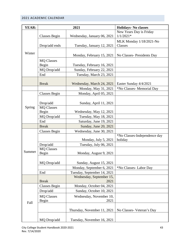# 2021 ACADEMIC CALENDAR

| <b>YEAR:</b> | 2021                       |                                  | <b>Holidays- No classes</b>             |
|--------------|----------------------------|----------------------------------|-----------------------------------------|
| Winter       | <b>Classes Begin</b>       | Wednesday, January 06, 2021      | New Years Day is Friday<br>$1/1/2021*$  |
|              | Drop/add ends              | Tuesday, January 12, 2021        | MLK Monday 1/18/2021-No<br>Classes      |
|              |                            | Monday, February 15, 2021        | No Classes-Presidents Day               |
|              | <b>MQ Classes</b><br>Begin | Tuesday, February 16, 2021       |                                         |
|              | MQ Drop/add                | Sunday, February 22, 2021        |                                         |
|              | End                        | Tuesday, March 23, 2021          |                                         |
|              | <b>Break</b>               | Wednesday, March 24, 2021        | Easter Sunday 4/4/2021                  |
|              |                            | Monday, May 31, 2021             | *No Classes- Memorial Day               |
| Spring       | <b>Classes Begin</b>       | Monday, April 05, 2021           |                                         |
|              | Drop/add                   | Sunday, April 11, 2021           |                                         |
|              | <b>MQ Classes</b><br>Begin | Wednesday, May 12, 2021          |                                         |
|              | MQ Drop/add                | Tuesday, May 18, 2021            |                                         |
|              | End                        | Saturday, June 19, 2021          |                                         |
|              | <b>Break</b>               | Sunday, June 20, 2021            |                                         |
| Summer       | <b>Classes Begin</b>       | Wednesday, June 30, 2021         |                                         |
|              |                            | Monday, July 5, 2021             | *No Classes-Independence day<br>holiday |
|              | Drop/add                   | Tuesday, July 06, 2021           |                                         |
|              | <b>MQ Classes</b>          |                                  |                                         |
|              | Begin                      | Monday, August 9, 2021           |                                         |
|              | MQ Drop/add                | Sunday, August 15, 2021          |                                         |
|              |                            | Monday, September 6, 2021        | *No Classes-Labor Day                   |
|              | End                        | Tuesday, September 14, 2021      |                                         |
|              | <b>Break</b>               | Wednesday, September 15,<br>2021 |                                         |
| Fall         | <b>Classes Begin</b>       | Monday, October 04, 2021         |                                         |
|              | Drop/add                   | Sunday, October 10, 2021         |                                         |
|              | <b>MQ Classes</b><br>Begin | Wednesday, November 10,<br>2021  |                                         |
|              |                            | Thursday, November 11, 2021      | No Classes-Veteran's Day                |
|              | MQ Drop/add                | Tuesday, November 16, 2021       |                                         |